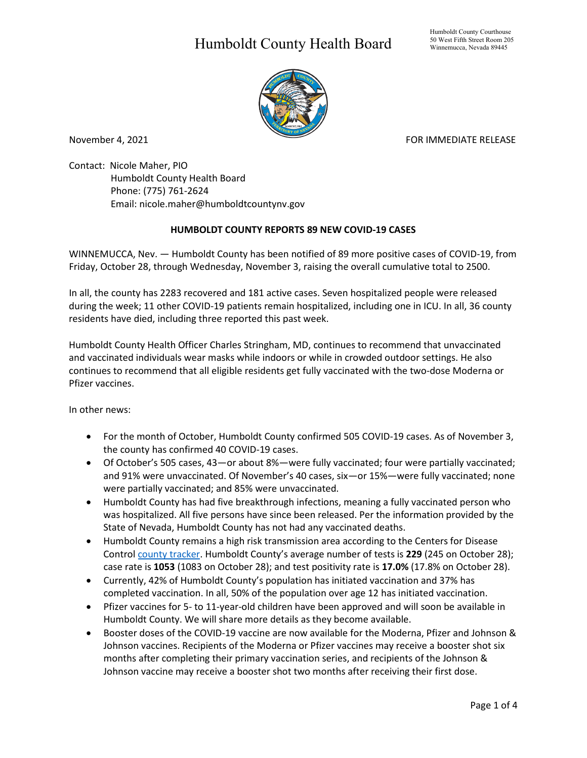## Humboldt County Health Board



November 4, 2021 FOR IMMEDIATE RELEASE

Contact: Nicole Maher, PIO Humboldt County Health Board Phone: (775) 761-2624 Email: nicole.maher@humboldtcountynv.gov

## **HUMBOLDT COUNTY REPORTS 89 NEW COVID-19 CASES**

WINNEMUCCA, Nev. — Humboldt County has been notified of 89 more positive cases of COVID-19, from Friday, October 28, through Wednesday, November 3, raising the overall cumulative total to 2500.

In all, the county has 2283 recovered and 181 active cases. Seven hospitalized people were released during the week; 11 other COVID-19 patients remain hospitalized, including one in ICU. In all, 36 county residents have died, including three reported this past week.

Humboldt County Health Officer Charles Stringham, MD, continues to recommend that unvaccinated and vaccinated individuals wear masks while indoors or while in crowded outdoor settings. He also continues to recommend that all eligible residents get fully vaccinated with the two-dose Moderna or Pfizer vaccines.

In other news:

- For the month of October, Humboldt County confirmed 505 COVID-19 cases. As of November 3, the county has confirmed 40 COVID-19 cases.
- Of October's 505 cases, 43—or about 8%—were fully vaccinated; four were partially vaccinated; and 91% were unvaccinated. Of November's 40 cases, six—or 15%—were fully vaccinated; none were partially vaccinated; and 85% were unvaccinated.
- Humboldt County has had five breakthrough infections, meaning a fully vaccinated person who was hospitalized. All five persons have since been released. Per the information provided by the State of Nevada, Humboldt County has not had any vaccinated deaths.
- Humboldt County remains a high risk transmission area according to the Centers for Disease Control [county tracker.](https://covid.cdc.gov/covid-data-tracker/#county-view) Humboldt County's average number of tests is **229** (245 on October 28); case rate is **1053** (1083 on October 28); and test positivity rate is **17.0%** (17.8% on October 28).
- Currently, 42% of Humboldt County's population has initiated vaccination and 37% has completed vaccination. In all, 50% of the population over age 12 has initiated vaccination.
- Pfizer vaccines for 5- to 11-year-old children have been approved and will soon be available in Humboldt County. We will share more details as they become available.
- Booster doses of the COVID-19 vaccine are now available for the Moderna, Pfizer and Johnson & Johnson vaccines. Recipients of the Moderna or Pfizer vaccines may receive a booster shot six months after completing their primary vaccination series, and recipients of the Johnson & Johnson vaccine may receive a booster shot two months after receiving their first dose.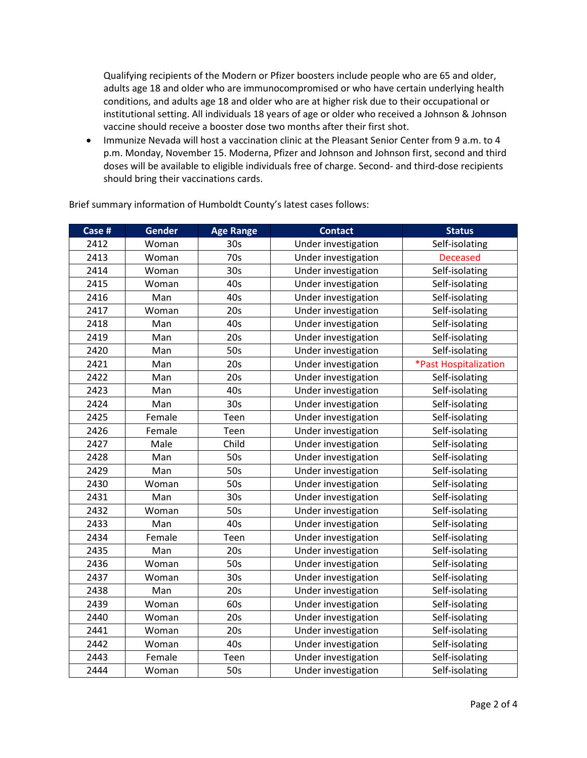Qualifying recipients of the Modern or Pfizer boosters include people who are 65 and older, adults age 18 and older who are immunocompromised or who have certain underlying health conditions, and adults age 18 and older who are at higher risk due to their occupational or institutional setting. All individuals 18 years of age or older who received a Johnson & Johnson vaccine should receive a booster dose two months after their first shot.

• Immunize Nevada will host a vaccination clinic at the Pleasant Senior Center from 9 a.m. to 4 p.m. Monday, November 15. Moderna, Pfizer and Johnson and Johnson first, second and third doses will be available to eligible individuals free of charge. Second- and third-dose recipients should bring their vaccinations cards.

| Case # | Gender | <b>Age Range</b> | <b>Contact</b>      | <b>Status</b>         |
|--------|--------|------------------|---------------------|-----------------------|
| 2412   | Woman  | 30 <sub>s</sub>  | Under investigation | Self-isolating        |
| 2413   | Woman  | 70s              | Under investigation | <b>Deceased</b>       |
| 2414   | Woman  | 30 <sub>s</sub>  | Under investigation | Self-isolating        |
| 2415   | Woman  | 40s              | Under investigation | Self-isolating        |
| 2416   | Man    | 40s              | Under investigation | Self-isolating        |
| 2417   | Woman  | 20s              | Under investigation | Self-isolating        |
| 2418   | Man    | 40s              | Under investigation | Self-isolating        |
| 2419   | Man    | 20s              | Under investigation | Self-isolating        |
| 2420   | Man    | 50s              | Under investigation | Self-isolating        |
| 2421   | Man    | 20s              | Under investigation | *Past Hospitalization |
| 2422   | Man    | 20s              | Under investigation | Self-isolating        |
| 2423   | Man    | 40s              | Under investigation | Self-isolating        |
| 2424   | Man    | 30 <sub>s</sub>  | Under investigation | Self-isolating        |
| 2425   | Female | Teen             | Under investigation | Self-isolating        |
| 2426   | Female | Teen             | Under investigation | Self-isolating        |
| 2427   | Male   | Child            | Under investigation | Self-isolating        |
| 2428   | Man    | 50s              | Under investigation | Self-isolating        |
| 2429   | Man    | 50s              | Under investigation | Self-isolating        |
| 2430   | Woman  | 50s              | Under investigation | Self-isolating        |
| 2431   | Man    | 30s              | Under investigation | Self-isolating        |
| 2432   | Woman  | 50s              | Under investigation | Self-isolating        |
| 2433   | Man    | 40s              | Under investigation | Self-isolating        |
| 2434   | Female | Teen             | Under investigation | Self-isolating        |
| 2435   | Man    | 20s              | Under investigation | Self-isolating        |
| 2436   | Woman  | 50s              | Under investigation | Self-isolating        |
| 2437   | Woman  | 30 <sub>s</sub>  | Under investigation | Self-isolating        |
| 2438   | Man    | 20s              | Under investigation | Self-isolating        |
| 2439   | Woman  | 60s              | Under investigation | Self-isolating        |
| 2440   | Woman  | 20s              | Under investigation | Self-isolating        |
| 2441   | Woman  | 20s              | Under investigation | Self-isolating        |
| 2442   | Woman  | 40s              | Under investigation | Self-isolating        |
| 2443   | Female | Teen             | Under investigation | Self-isolating        |
| 2444   | Woman  | 50s              | Under investigation | Self-isolating        |

Brief summary information of Humboldt County's latest cases follows: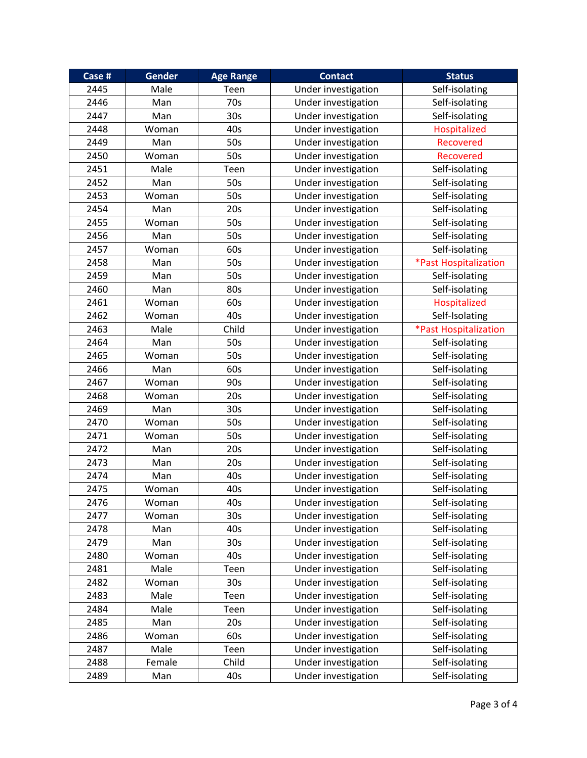| Case # | <b>Gender</b> | <b>Age Range</b> | <b>Contact</b>      | <b>Status</b>         |
|--------|---------------|------------------|---------------------|-----------------------|
| 2445   | Male          | Teen             | Under investigation | Self-isolating        |
| 2446   | Man           | 70s              | Under investigation | Self-isolating        |
| 2447   | Man           | 30 <sub>s</sub>  | Under investigation | Self-isolating        |
| 2448   | Woman         | 40s              | Under investigation | Hospitalized          |
| 2449   | Man           | 50s              | Under investigation | <b>Recovered</b>      |
| 2450   | Woman         | 50s              | Under investigation | Recovered             |
| 2451   | Male          | Teen             | Under investigation | Self-isolating        |
| 2452   | Man           | 50s              | Under investigation | Self-isolating        |
| 2453   | Woman         | 50s              | Under investigation | Self-isolating        |
| 2454   | Man           | 20s              | Under investigation | Self-isolating        |
| 2455   | Woman         | 50s              | Under investigation | Self-isolating        |
| 2456   | Man           | 50s              | Under investigation | Self-isolating        |
| 2457   | Woman         | 60s              | Under investigation | Self-isolating        |
| 2458   | Man           | 50s              | Under investigation | *Past Hospitalization |
| 2459   | Man           | 50s              | Under investigation | Self-isolating        |
| 2460   | Man           | 80s              | Under investigation | Self-isolating        |
| 2461   | Woman         | 60s              | Under investigation | Hospitalized          |
| 2462   | Woman         | 40s              | Under investigation | Self-Isolating        |
| 2463   | Male          | Child            | Under investigation | *Past Hospitalization |
| 2464   | Man           | 50s              | Under investigation | Self-isolating        |
| 2465   | Woman         | 50s              | Under investigation | Self-isolating        |
| 2466   | Man           | 60s              | Under investigation | Self-isolating        |
| 2467   | Woman         | 90s              | Under investigation | Self-isolating        |
| 2468   | Woman         | 20s              | Under investigation | Self-isolating        |
| 2469   | Man           | 30 <sub>s</sub>  | Under investigation | Self-isolating        |
| 2470   | Woman         | 50s              | Under investigation | Self-isolating        |
| 2471   | Woman         | 50s              | Under investigation | Self-isolating        |
| 2472   | Man           | 20s              | Under investigation | Self-isolating        |
| 2473   | Man           | 20s              | Under investigation | Self-isolating        |
| 2474   | Man           | 40s              | Under investigation | Self-isolating        |
| 2475   | Woman         | 40s              | Under investigation | Self-isolating        |
| 2476   | Woman         | 40s              | Under investigation | Self-isolating        |
| 2477   | Woman         | 30s              | Under investigation | Self-isolating        |
| 2478   | Man           | 40s              | Under investigation | Self-isolating        |
| 2479   | Man           | 30 <sub>s</sub>  | Under investigation | Self-isolating        |
| 2480   | Woman         | 40s              | Under investigation | Self-isolating        |
| 2481   | Male          | Teen             | Under investigation | Self-isolating        |
| 2482   | Woman         | 30 <sub>s</sub>  | Under investigation | Self-isolating        |
| 2483   | Male          | Teen             | Under investigation | Self-isolating        |
| 2484   | Male          | Teen             | Under investigation | Self-isolating        |
| 2485   | Man           | 20s              | Under investigation | Self-isolating        |
| 2486   | Woman         | 60s              | Under investigation | Self-isolating        |
| 2487   | Male          | Teen             | Under investigation | Self-isolating        |
| 2488   | Female        | Child            | Under investigation | Self-isolating        |
| 2489   | Man           | 40s              | Under investigation | Self-isolating        |